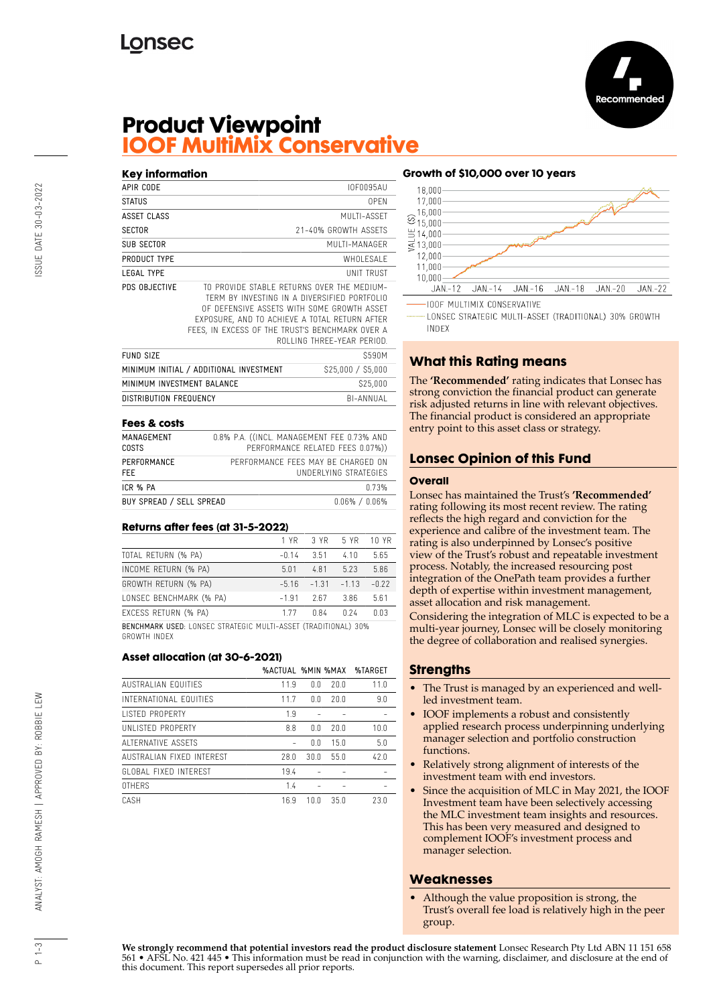

# **Product Viewpoint IOOF MultiMix Conservative**

| Key information                         |                                                                                                                                                                                                                                              |                            |
|-----------------------------------------|----------------------------------------------------------------------------------------------------------------------------------------------------------------------------------------------------------------------------------------------|----------------------------|
| APIR CODE                               |                                                                                                                                                                                                                                              | <b>IOF0095AU</b>           |
| STATUS                                  |                                                                                                                                                                                                                                              | 0PFN                       |
| <b>ASSET CLASS</b>                      |                                                                                                                                                                                                                                              | MUITI-ASSFT                |
| <b>SECTOR</b>                           |                                                                                                                                                                                                                                              | 21-40% GROWTH ASSETS       |
| SUB SECTOR                              |                                                                                                                                                                                                                                              | MUITI-MANAGER              |
| PRODUCT TYPE                            |                                                                                                                                                                                                                                              | WHOLESALE                  |
| <b>LEGAL TYPE</b>                       |                                                                                                                                                                                                                                              | <b>UNIT TRUST</b>          |
| PDS OBJECTIVE                           | TO PROVIDE STABLE RETURNS OVER THE MEDIUM-<br>TERM BY INVESTING IN A DIVERSIFIED PORTFOLIO<br>OF DEFENSIVE ASSETS WITH SOME GROWTH ASSET<br>EXPOSURE, AND TO ACHIEVE A TOTAL RETURN AFTER<br>FEES, IN EXCESS OF THE TRUST'S BENCHMARK OVER A | ROLLING THREE-YEAR PERIOD. |
| <b>FUND SIZE</b>                        |                                                                                                                                                                                                                                              | \$590M                     |
| MINIMUM INITIAL / ADDITIONAL INVESTMENT |                                                                                                                                                                                                                                              | \$25,000 / \$5,000         |
| MINIMUM INVESTMENT BALANCE              |                                                                                                                                                                                                                                              | \$25,000                   |
| DISTRIBUTION FREQUENCY                  |                                                                                                                                                                                                                                              | BI-ANNUAI                  |
|                                         |                                                                                                                                                                                                                                              |                            |

#### **Fees & costs**

| MANAGEMENT<br>COSTS      | 0.8% P.A. ((INCL. MANAGEMENT FEE 0.73% AND<br>PERFORMANCE RELATED FEES 0.07%)) |
|--------------------------|--------------------------------------------------------------------------------|
| PERFORMANCE<br>FFF.      | PERFORMANCE FFFS MAY BE CHARGED ON<br>UNDERLYING STRATEGIES                    |
| ICR % PA                 | በ 73%                                                                          |
| BUY SPREAD / SELL SPREAD | $0.06\%$ / $0.06\%$                                                            |

#### **Returns after fees (at 31-5-2022)**

|                                                                       | 1 YR    | 3 YR    | 5 YR    | 10 YR   |
|-----------------------------------------------------------------------|---------|---------|---------|---------|
| TOTAL RETURN (% PA)                                                   | -0.14   | 3.51    | 410     | 5.65    |
| INCOME RETURN (% PA)                                                  | 5.01    | 4.81    | 5.23    | 5.86    |
| GROWTH RETURN (% PA)                                                  | -516    | $-1.31$ | $-1.13$ | $-0.22$ |
| LONSEC BENCHMARK (% PA)                                               | $-1.91$ | 2.67    | 3.86    | 5.61    |
| EXCESS RETURN (% PA)                                                  | 177     | n 84    | 0.24    | በ በ3    |
| <b>BENCHMARK USED: LONSEC STRATEGIC MULTI-ASSET (TRADITIONAL) 30%</b> |         |         |         |         |

GROWTH INDEX

#### **Asset allocation (at 30-6-2021)**

|                            | <b>%ACTUAL %MIN %MAX</b> |      |      | %TARGET |
|----------------------------|--------------------------|------|------|---------|
| <b>AUSTRALIAN FOUITIES</b> | 11.9                     | 0.0  | 20.0 | 11.0    |
| INTERNATIONAL FOUITIES     | 11.7                     | 0.0  | 20.0 | 9.0     |
| <b>LISTED PROPERTY</b>     | 1.9                      |      |      |         |
| UNI ISTED PROPERTY         | 8.8                      | 0.0  | 20.0 | 10.0    |
| ALTERNATIVE ASSETS         |                          | 0.0  | 15.0 | 5.0     |
| AUSTRALIAN FIXED INTEREST  | 28.0                     | 30.0 | 55.0 | 42.0    |
| GLOBAL FIXED INTEREST      | 19.4                     |      |      |         |
| <b>OTHERS</b>              | 1.4                      |      |      |         |
| CASH                       | 16.9                     | 10.0 | 35.0 | 23.0    |

#### **Growth of \$10,000 over 10 years**



LONSEC STRATEGIC MULTI-ASSET (TRADITIONAL) 30% GROWTH **INDEX** 

# **What this Rating means**

The **'Recommended'** rating indicates that Lonsec has strong conviction the financial product can generate risk adjusted returns in line with relevant objectives. The financial product is considered an appropriate entry point to this asset class or strategy.

## **Lonsec Opinion of this Fund**

#### **Overall**

Lonsec has maintained the Trust's **'Recommended'** rating following its most recent review. The rating reflects the high regard and conviction for the experience and calibre of the investment team. The rating is also underpinned by Lonsec's positive view of the Trust's robust and repeatable investment process. Notably, the increased resourcing post integration of the OnePath team provides a further depth of expertise within investment management, asset allocation and risk management.

Considering the integration of MLC is expected to be a multi-year journey, Lonsec will be closely monitoring the degree of collaboration and realised synergies.

## **Strengths**

- The Trust is managed by an experienced and wellled investment team.
- IOOF implements a robust and consistently applied research process underpinning underlying manager selection and portfolio construction functions.
- Relatively strong alignment of interests of the investment team with end investors.
- Since the acquisition of MLC in May 2021, the IOOF Investment team have been selectively accessing the MLC investment team insights and resources. This has been very measured and designed to complement IOOF's investment process and manager selection.

## **Weaknesses**

• Although the value proposition is strong, the Trust's overall fee load is relatively high in the peer group.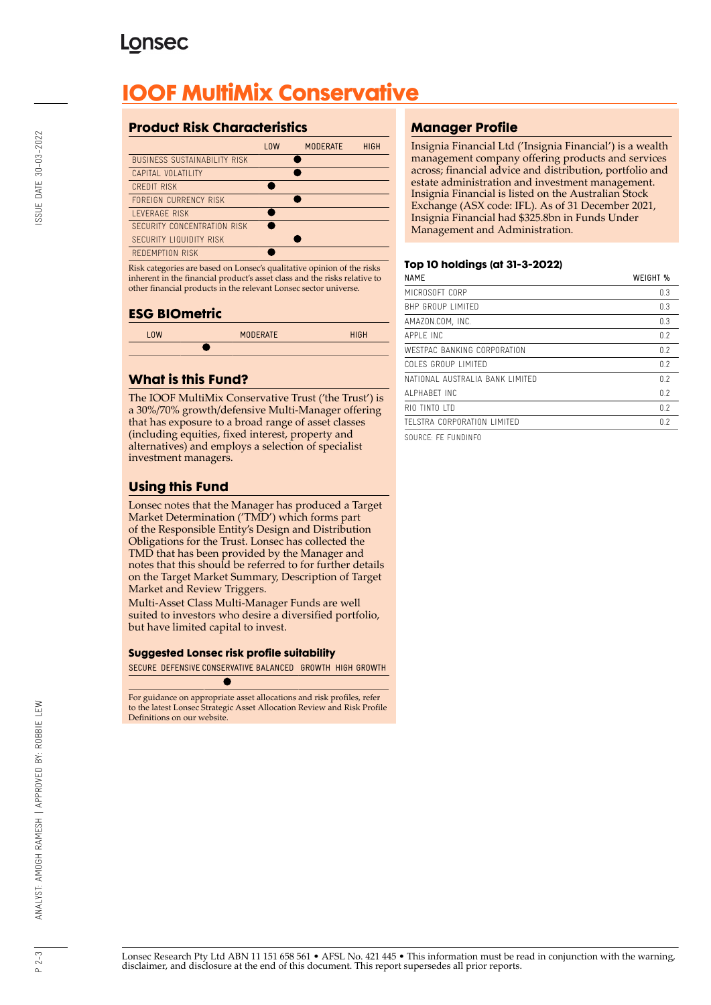# **Lonsec**

# **IOOF MultiMix Conservative**

# **Product Risk Characteristics**

| 10W | <b>MODERATE</b> | <b>HIGH</b> |
|-----|-----------------|-------------|
|     |                 |             |
|     |                 |             |
|     |                 |             |
|     |                 |             |
|     |                 |             |
|     |                 |             |
|     |                 |             |
|     |                 |             |
|     |                 |             |

Risk categories are based on Lonsec's qualitative opinion of the risks inherent in the financial product's asset class and the risks relative to other financial products in the relevant Lonsec sector universe.

## **ESG BIOmetric**

| <b>LOW</b> | <b>MODERATE</b> | <b>HIGH</b> |
|------------|-----------------|-------------|
|            |                 |             |

# **What is this Fund?**

The IOOF MultiMix Conservative Trust ('the Trust') is a 30%/70% growth/defensive Multi-Manager offering that has exposure to a broad range of asset classes (including equities, fixed interest, property and alternatives) and employs a selection of specialist investment managers.

# **Using this Fund**

Lonsec notes that the Manager has produced a Target Market Determination ('TMD') which forms part of the Responsible Entity's Design and Distribution Obligations for the Trust. Lonsec has collected the TMD that has been provided by the Manager and notes that this should be referred to for further details on the Target Market Summary, Description of Target Market and Review Triggers.

Multi-Asset Class Multi-Manager Funds are well suited to investors who desire a diversified portfolio, but have limited capital to invest.

#### **Suggested Lonsec risk profile suitability**

SECURE DEFENSIVE CONSERVATIVE BALANCED GROWTH HIGH GROWTH

For guidance on appropriate asset allocations and risk profiles, refer to the latest Lonsec Strategic Asset Allocation Review and Risk Profile Definitions on our website.

# **Manager Profile**

Insignia Financial Ltd ('Insignia Financial') is a wealth management company offering products and services across; financial advice and distribution, portfolio and estate administration and investment management. Insignia Financial is listed on the Australian Stock Exchange (ASX code: IFL). As of 31 December 2021, Insignia Financial had \$325.8bn in Funds Under Management and Administration.

#### **Top 10 holdings (at 31-3-2022)**

| <b>NAME</b>                     | WEIGHT % |
|---------------------------------|----------|
| MICROSOFT CORP                  | 0.3      |
| BHP GROUP LIMITED               | 0.3      |
| AMAZON.COM, INC.                | 0.3      |
| APPI F INC                      | 0.2      |
| WESTPAC BANKING CORPORATION     | 0.2      |
| COLES GROUP LIMITED             | 0.2      |
| NATIONAL AUSTRALIA BANK LIMITED | 0.2      |
| AI PHARFT INC                   | 0.2      |
| RIO TINTO ITD                   | 0.2      |
| TELSTRA CORPORATION LIMITED     | 0.2      |
|                                 |          |

SOURCE: FE FUNDINFO